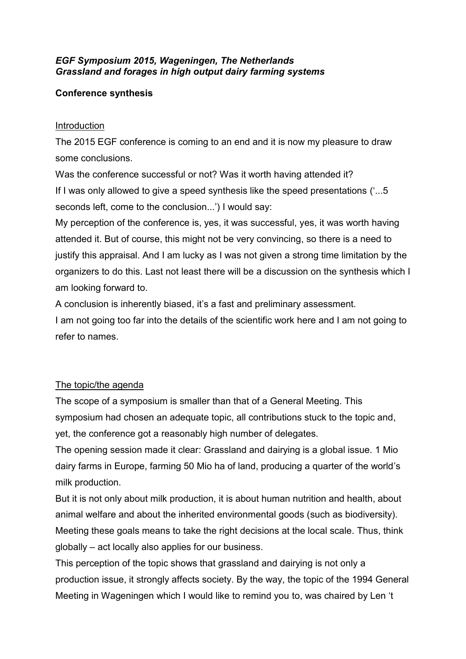## *EGF Symposium 2015, Wageningen, The Netherlands Grassland and forages in high output dairy farming systems*

# **Conference synthesis**

## Introduction

The 2015 EGF conference is coming to an end and it is now my pleasure to draw some conclusions.

Was the conference successful or not? Was it worth having attended it? If I was only allowed to give a speed synthesis like the speed presentations ('...5 seconds left, come to the conclusion...') I would say:

My perception of the conference is, yes, it was successful, yes, it was worth having attended it. But of course, this might not be very convincing, so there is a need to justify this appraisal. And I am lucky as I was not given a strong time limitation by the organizers to do this. Last not least there will be a discussion on the synthesis which I am looking forward to.

A conclusion is inherently biased, it's a fast and preliminary assessment.

I am not going too far into the details of the scientific work here and I am not going to refer to names.

# The topic/the agenda

The scope of a symposium is smaller than that of a General Meeting. This symposium had chosen an adequate topic, all contributions stuck to the topic and, yet, the conference got a reasonably high number of delegates.

The opening session made it clear: Grassland and dairying is a global issue. 1 Mio dairy farms in Europe, farming 50 Mio ha of land, producing a quarter of the world's milk production.

But it is not only about milk production, it is about human nutrition and health, about animal welfare and about the inherited environmental goods (such as biodiversity). Meeting these goals means to take the right decisions at the local scale. Thus, think globally – act locally also applies for our business.

This perception of the topic shows that grassland and dairying is not only a production issue, it strongly affects society. By the way, the topic of the 1994 General Meeting in Wageningen which I would like to remind you to, was chaired by Len 't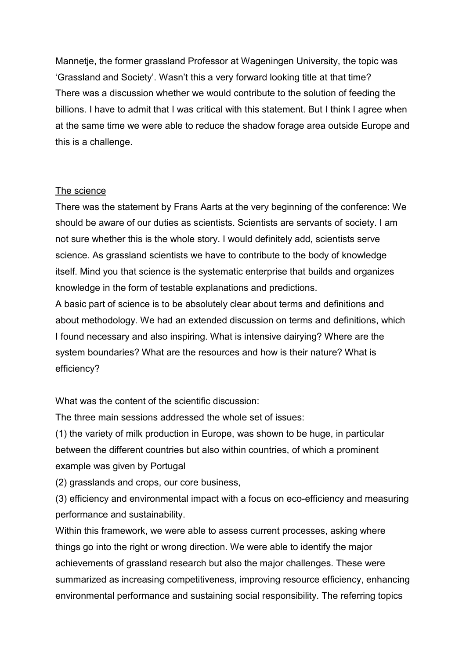Mannetje, the former grassland Professor at Wageningen University, the topic was 'Grassland and Society'. Wasn't this a very forward looking title at that time? There was a discussion whether we would contribute to the solution of feeding the billions. I have to admit that I was critical with this statement. But I think I agree when at the same time we were able to reduce the shadow forage area outside Europe and this is a challenge.

### The science

There was the statement by Frans Aarts at the very beginning of the conference: We should be aware of our duties as scientists. Scientists are servants of society. I am not sure whether this is the whole story. I would definitely add, scientists serve science. As grassland scientists we have to contribute to the body of knowledge itself. Mind you that science is the systematic enterprise that builds and organizes knowledge in the form of testable explanations and predictions.

A basic part of science is to be absolutely clear about terms and definitions and about methodology. We had an extended discussion on terms and definitions, which I found necessary and also inspiring. What is intensive dairying? Where are the system boundaries? What are the resources and how is their nature? What is efficiency?

What was the content of the scientific discussion:

The three main sessions addressed the whole set of issues:

(1) the variety of milk production in Europe, was shown to be huge, in particular between the different countries but also within countries, of which a prominent example was given by Portugal

(2) grasslands and crops, our core business,

(3) efficiency and environmental impact with a focus on eco-efficiency and measuring performance and sustainability.

Within this framework, we were able to assess current processes, asking where things go into the right or wrong direction. We were able to identify the major achievements of grassland research but also the major challenges. These were summarized as increasing competitiveness, improving resource efficiency, enhancing environmental performance and sustaining social responsibility. The referring topics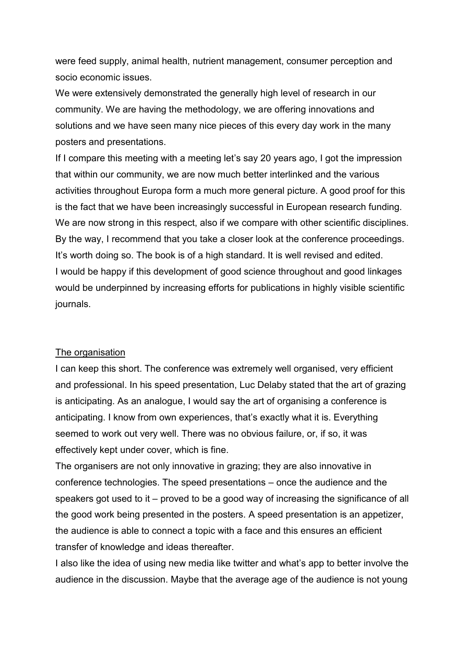were feed supply, animal health, nutrient management, consumer perception and socio economic issues.

We were extensively demonstrated the generally high level of research in our community. We are having the methodology, we are offering innovations and solutions and we have seen many nice pieces of this every day work in the many posters and presentations.

If I compare this meeting with a meeting let's say 20 years ago, I got the impression that within our community, we are now much better interlinked and the various activities throughout Europa form a much more general picture. A good proof for this is the fact that we have been increasingly successful in European research funding. We are now strong in this respect, also if we compare with other scientific disciplines. By the way, I recommend that you take a closer look at the conference proceedings. It's worth doing so. The book is of a high standard. It is well revised and edited. I would be happy if this development of good science throughout and good linkages would be underpinned by increasing efforts for publications in highly visible scientific journals.

### The organisation

I can keep this short. The conference was extremely well organised, very efficient and professional. In his speed presentation, Luc Delaby stated that the art of grazing is anticipating. As an analogue, I would say the art of organising a conference is anticipating. I know from own experiences, that's exactly what it is. Everything seemed to work out very well. There was no obvious failure, or, if so, it was effectively kept under cover, which is fine.

The organisers are not only innovative in grazing; they are also innovative in conference technologies. The speed presentations – once the audience and the speakers got used to it – proved to be a good way of increasing the significance of all the good work being presented in the posters. A speed presentation is an appetizer, the audience is able to connect a topic with a face and this ensures an efficient transfer of knowledge and ideas thereafter.

I also like the idea of using new media like twitter and what's app to better involve the audience in the discussion. Maybe that the average age of the audience is not young